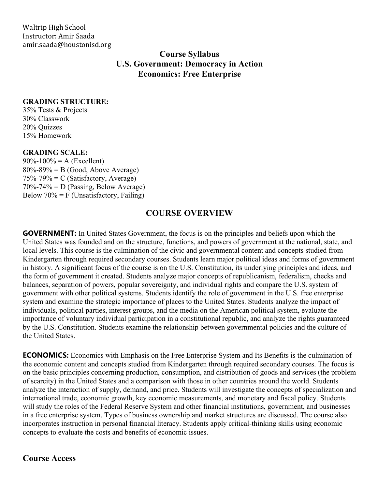Waltrip High School Instructor: Amir Saada amir.saada@houstonisd.org

> **Course Syllabus U.S. Government: Democracy in Action Economics: Free Enterprise**

### **GRADING STRUCTURE:**

35% Tests & Projects 30% Classwork 20% Quizzes 15% Homework

### **GRADING SCALE:**

 $90\% - 100\% = A$  (Excellent)  $80\% - 89\% = B$  (Good, Above Average)  $75\% - 79\% = C$  (Satisfactory, Average)  $70\% - 74\% = D$  (Passing, Below Average) Below  $70\% = F$  (Unsatisfactory, Failing)

## **COURSE OVERVIEW**

**GOVERNMENT:** In United States Government, the focus is on the principles and beliefs upon which the United States was founded and on the structure, functions, and powers of government at the national, state, and local levels. This course is the culmination of the civic and governmental content and concepts studied from Kindergarten through required secondary courses. Students learn major political ideas and forms of government in history. A significant focus of the course is on the U.S. Constitution, its underlying principles and ideas, and the form of government it created. Students analyze major concepts of republicanism, federalism, checks and balances, separation of powers, popular sovereignty, and individual rights and compare the U.S. system of government with other political systems. Students identify the role of government in the U.S. free enterprise system and examine the strategic importance of places to the United States. Students analyze the impact of individuals, political parties, interest groups, and the media on the American political system, evaluate the importance of voluntary individual participation in a constitutional republic, and analyze the rights guaranteed by the U.S. Constitution. Students examine the relationship between governmental policies and the culture of the United States.

**ECONOMICS:** Economics with Emphasis on the Free Enterprise System and Its Benefits is the culmination of the economic content and concepts studied from Kindergarten through required secondary courses. The focus is on the basic principles concerning production, consumption, and distribution of goods and services (the problem of scarcity) in the United States and a comparison with those in other countries around the world. Students analyze the interaction of supply, demand, and price. Students will investigate the concepts of specialization and international trade, economic growth, key economic measurements, and monetary and fiscal policy. Students will study the roles of the Federal Reserve System and other financial institutions, government, and businesses in a free enterprise system. Types of business ownership and market structures are discussed. The course also incorporates instruction in personal financial literacy. Students apply critical-thinking skills using economic concepts to evaluate the costs and benefits of economic issues.

## **Course Access**